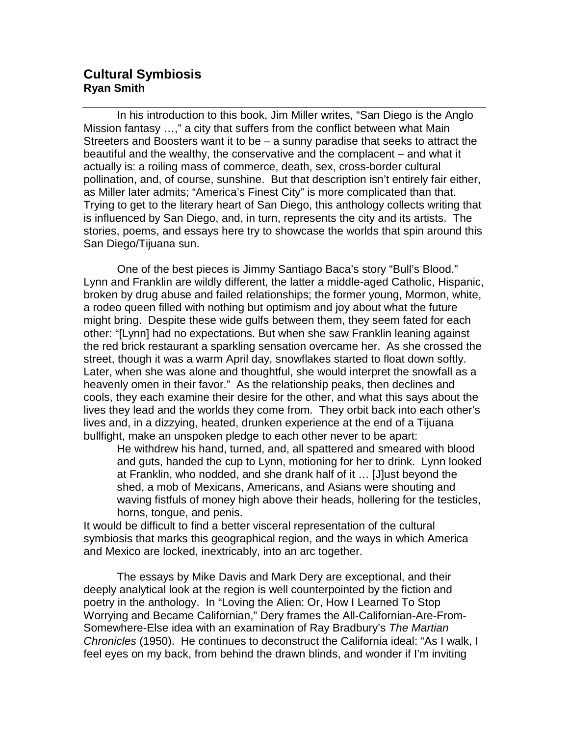## **Cultural Symbiosis Ryan Smith**

In his introduction to this book, Jim Miller writes, "San Diego is the Anglo Mission fantasy …," a city that suffers from the conflict between what Main Streeters and Boosters want it to be – a sunny paradise that seeks to attract the beautiful and the wealthy, the conservative and the complacent – and what it actually is: a roiling mass of commerce, death, sex, cross-border cultural pollination, and, of course, sunshine. But that description isn't entirely fair either, as Miller later admits; "America's Finest City" is more complicated than that. Trying to get to the literary heart of San Diego, this anthology collects writing that is influenced by San Diego, and, in turn, represents the city and its artists. The stories, poems, and essays here try to showcase the worlds that spin around this San Diego/Tijuana sun.

One of the best pieces is Jimmy Santiago Baca's story "Bull's Blood." Lynn and Franklin are wildly different, the latter a middle-aged Catholic, Hispanic, broken by drug abuse and failed relationships; the former young, Mormon, white, a rodeo queen filled with nothing but optimism and joy about what the future might bring. Despite these wide gulfs between them, they seem fated for each other: "[Lynn] had no expectations. But when she saw Franklin leaning against the red brick restaurant a sparkling sensation overcame her. As she crossed the street, though it was a warm April day, snowflakes started to float down softly. Later, when she was alone and thoughtful, she would interpret the snowfall as a heavenly omen in their favor." As the relationship peaks, then declines and cools, they each examine their desire for the other, and what this says about the lives they lead and the worlds they come from. They orbit back into each other's lives and, in a dizzying, heated, drunken experience at the end of a Tijuana bullfight, make an unspoken pledge to each other never to be apart:

He withdrew his hand, turned, and, all spattered and smeared with blood and guts, handed the cup to Lynn, motioning for her to drink. Lynn looked at Franklin, who nodded, and she drank half of it … [J]ust beyond the shed, a mob of Mexicans, Americans, and Asians were shouting and waving fistfuls of money high above their heads, hollering for the testicles, horns, tongue, and penis.

It would be difficult to find a better visceral representation of the cultural symbiosis that marks this geographical region, and the ways in which America and Mexico are locked, inextricably, into an arc together.

The essays by Mike Davis and Mark Dery are exceptional, and their deeply analytical look at the region is well counterpointed by the fiction and poetry in the anthology. In "Loving the Alien: Or, How I Learned To Stop Worrying and Became Californian," Dery frames the All-Californian-Are-From-Somewhere-Else idea with an examination of Ray Bradbury's *The Martian Chronicles* (1950). He continues to deconstruct the California ideal: "As I walk, I feel eyes on my back, from behind the drawn blinds, and wonder if I'm inviting